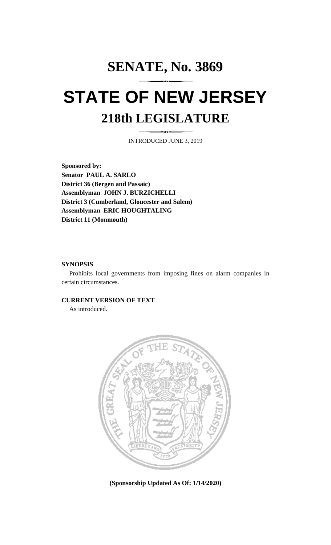## **SENATE, No. 3869 STATE OF NEW JERSEY 218th LEGISLATURE**

INTRODUCED JUNE 3, 2019

**Sponsored by: Senator PAUL A. SARLO District 36 (Bergen and Passaic) Assemblyman JOHN J. BURZICHELLI District 3 (Cumberland, Gloucester and Salem) Assemblyman ERIC HOUGHTALING District 11 (Monmouth)**

## **SYNOPSIS**

Prohibits local governments from imposing fines on alarm companies in certain circumstances.

## **CURRENT VERSION OF TEXT**

As introduced.



**(Sponsorship Updated As Of: 1/14/2020)**